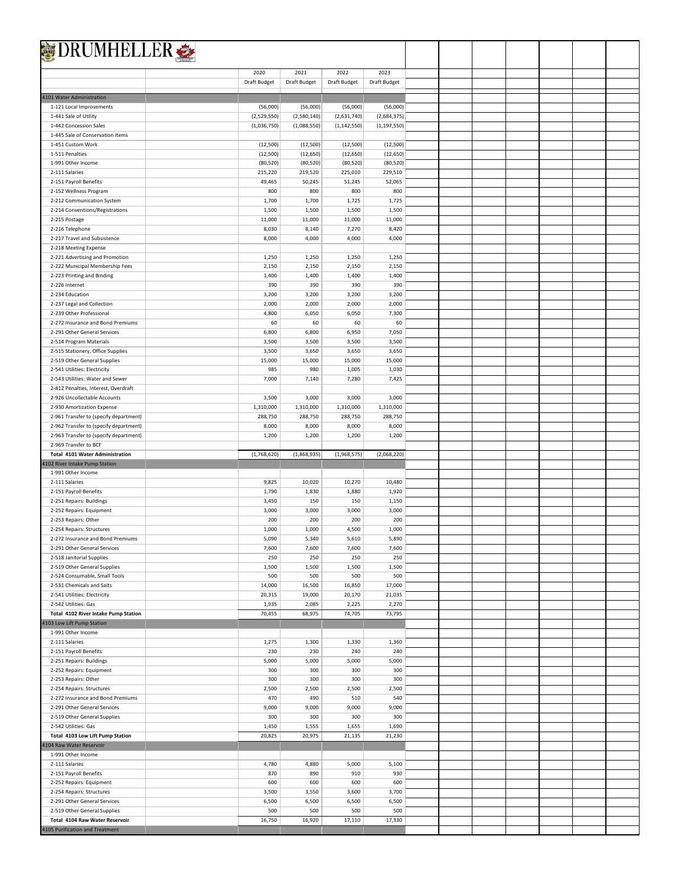| <b>DRUMHELLER</b>                                                                |                        |                        |                        |                        |  |  |  |  |
|----------------------------------------------------------------------------------|------------------------|------------------------|------------------------|------------------------|--|--|--|--|
|                                                                                  |                        |                        |                        |                        |  |  |  |  |
|                                                                                  | 2020                   | 2021                   | 2022                   | 2023                   |  |  |  |  |
|                                                                                  | Draft Budget           | Draft Budget           | Draft Budget           | Draft Budget           |  |  |  |  |
| 4101 Water Administration                                                        |                        |                        |                        |                        |  |  |  |  |
| 1-121 Local Improvements                                                         | (56,000)               | (56,000)               | (56,000)               | (56,000)               |  |  |  |  |
| 1-441 Sale of Utility                                                            | (2,529,550)            | (2,580,140)            | (2,631,740)            | (2,684,375)            |  |  |  |  |
| 1-442 Concession Sales                                                           | (1,036,750)            | (1,088,550)            | (1, 142, 550)          | (1, 197, 550)          |  |  |  |  |
| 1-445 Sale of Conservation Items                                                 |                        |                        |                        |                        |  |  |  |  |
| 1-451 Custom Work                                                                | (12, 500)              | (12,500)               | (12, 500)              | (12,500)               |  |  |  |  |
| 1-511 Penalties<br>1-991 Other Income                                            | (12, 500)<br>(80, 520) | (12, 650)<br>(80, 520) | (12, 650)<br>(80, 520) | (12, 650)<br>(80, 520) |  |  |  |  |
| 2-111 Salaries                                                                   | 215,220                | 219,520                | 225,010                | 229,510                |  |  |  |  |
| 2-151 Payroll Benefits                                                           | 49,465                 | 50,245                 | 51,245                 | 52,065                 |  |  |  |  |
| 2-152 Wellness Program                                                           | 800                    | 800                    | 800                    | 800                    |  |  |  |  |
| 2-212 Communication System                                                       | 1,700                  | 1,700                  | 1,725                  | 1,725                  |  |  |  |  |
| 2-214 Conventions/Registrations                                                  | 1,500                  | 1,500                  | 1,500                  | 1,500                  |  |  |  |  |
| 2-215 Postage                                                                    | 11,000                 | 11,000                 | 11,000                 | 11,000                 |  |  |  |  |
| 2-216 Telephone                                                                  | 8,030                  | 8,140                  | 7,270                  | 8,420                  |  |  |  |  |
| 2-217 Travel and Subsistence                                                     | 8,000                  | 4,000                  | 4,000                  | 4,000                  |  |  |  |  |
| 2-218 Meeting Expense                                                            |                        |                        |                        |                        |  |  |  |  |
| 2-221 Advertising and Promotion                                                  | 1,250                  | 1,250                  | 1,250                  | 1,250                  |  |  |  |  |
| 2-222 Municipal Membership Fees                                                  | 2,150                  | 2,150                  | 2,150                  | 2,150                  |  |  |  |  |
| 2-223 Printing and Binding<br>2-226 Internet                                     | 1,400<br>390           | 1,400<br>390           | 1,400<br>390           | 1,400<br>390           |  |  |  |  |
| 2-234 Education                                                                  | 3,200                  | 3,200                  | 3,200                  | 3,200                  |  |  |  |  |
| 2-237 Legal and Collection                                                       | 2,000                  | 2,000                  | 2,000                  | 2,000                  |  |  |  |  |
| 2-239 Other Professional                                                         | 4,800                  | 6,050                  | 6,050                  | 7,300                  |  |  |  |  |
| 2-272 Insurance and Bond Premiums                                                | 60                     | 60                     | 60                     | 60                     |  |  |  |  |
| 2-291 Other General Services                                                     | 6,800                  | 6,800                  | 6,950                  | 7,050                  |  |  |  |  |
| 2-514 Program Materials                                                          | 3,500                  | 3,500                  | 3,500                  | 3,500                  |  |  |  |  |
| 2-515 Stationery, Office Supplies                                                | 3,500                  | 3,650                  | 3,650                  | 3,650                  |  |  |  |  |
| 2-519 Other General Supplies                                                     | 15,000                 | 15,000                 | 15,000                 | 15,000                 |  |  |  |  |
| 2-541 Utilities: Electricity                                                     | 985                    | 980                    | 1,005                  | 1,030                  |  |  |  |  |
| 2-543 Utilities: Water and Sewer                                                 | 7,000                  | 7,140                  | 7,280                  | 7,425                  |  |  |  |  |
| 2-812 Penalties, Interest, Overdraft                                             |                        |                        |                        |                        |  |  |  |  |
| 2-926 Uncollectable Accounts                                                     | 3,500                  | 3,000                  | 3,000                  | 3,000                  |  |  |  |  |
| 2-930 Amortization Expense                                                       | 1,310,000<br>288,750   | 1,310,000<br>288,750   | 1,310,000<br>288,750   | 1,310,000<br>288,750   |  |  |  |  |
| 2-961 Transfer to (specify department)<br>2-962 Transfer to (specify department) | 8,000                  | 8,000                  | 8,000                  | 8,000                  |  |  |  |  |
| 2-963 Transfer to (specify department)                                           | 1,200                  | 1,200                  | 1,200                  | 1,200                  |  |  |  |  |
| 2-969 Transfer to BCF                                                            |                        |                        |                        |                        |  |  |  |  |
| <b>Total 4101 Water Administration</b>                                           | (1,768,620)            | (1,868,935)            | (1,968,575)            | (2,068,220)            |  |  |  |  |
| 4102 River Intake Pump Station                                                   |                        |                        |                        |                        |  |  |  |  |
| 1-991 Other Income                                                               |                        |                        |                        |                        |  |  |  |  |
| 2-111 Salaries                                                                   | 9,825                  | 10,020                 | 10,270                 | 10,480                 |  |  |  |  |
| 2-151 Payroll Benefits                                                           | 1,790                  | 1,830                  | 1,880                  | 1,920                  |  |  |  |  |
| 2-251 Repairs: Buildings                                                         | 3,450                  | 150                    | 150                    | 1,150                  |  |  |  |  |
| 2-252 Repairs: Equipment                                                         | 3,000                  | 3,000                  | 3,000                  | 3,000                  |  |  |  |  |
| 2-253 Repairs: Other                                                             | 200                    | 200<br>1,000           | 200                    | 200                    |  |  |  |  |
| 2-254 Repairs: Structures<br>2-272 Insurance and Bond Premiums                   | 1,000<br>5,090         | 5,340                  | 4,500<br>5,610         | 1,000<br>5,890         |  |  |  |  |
| 2-291 Other General Services                                                     | 7,600                  | 7,600                  | 7,600                  | 7,600                  |  |  |  |  |
| 2-518 Janitorial Supplies                                                        | 250                    | 250                    | 250                    | 250                    |  |  |  |  |
| 2-519 Other General Supplies                                                     | 1,500                  | 1,500                  | 1,500                  | 1,500                  |  |  |  |  |
| 2-524 Consumable, Small Tools                                                    | 500                    | 500                    | 500                    | 500                    |  |  |  |  |
| 2-531 Chemicals and Salts                                                        | 14,000                 | 16,500                 | 16,850                 | 17,000                 |  |  |  |  |
| 2-541 Utilities: Electricity                                                     | 20,315                 | 19,000                 | 20,170                 | 21,035                 |  |  |  |  |
| 2-542 Utilities: Gas                                                             | 1,935                  | 2,085                  | 2,225                  | 2,270                  |  |  |  |  |
| Total 4102 River Intake Pump Station                                             | 70,455                 | 68,975                 | 74,705                 | 73,795                 |  |  |  |  |
| 4103 Low Lift Pump Station                                                       |                        |                        |                        |                        |  |  |  |  |
| 1-991 Other Income                                                               |                        |                        |                        |                        |  |  |  |  |
| 2-111 Salaries                                                                   | 1,275                  | 1,300                  | 1,330                  | 1,360                  |  |  |  |  |
| 2-151 Payroll Benefits                                                           | 230                    | 230<br>5,000           | 240                    | 240<br>5,000           |  |  |  |  |
| 2-251 Repairs: Buildings<br>2-252 Repairs: Equipment                             | 5,000<br>300           | 300                    | 5,000<br>300           | 300                    |  |  |  |  |
| 2-253 Repairs: Other                                                             | 300                    | 300                    | 300                    | 300                    |  |  |  |  |
| 2-254 Repairs: Structures                                                        | 2,500                  | 2,500                  | 2,500                  | 2,500                  |  |  |  |  |
| 2-272 Insurance and Bond Premiums                                                | 470                    | 490                    | 510                    | 540                    |  |  |  |  |
| 2-291 Other General Services                                                     | 9,000                  | 9,000                  | 9,000                  | 9,000                  |  |  |  |  |
| 2-519 Other General Supplies                                                     | 300                    | 300                    | 300                    | 300                    |  |  |  |  |
| 2-542 Utilities: Gas                                                             | 1,450                  | 1,555                  | 1,655                  | 1,690                  |  |  |  |  |
| Total 4103 Low Lift Pump Station                                                 | 20,825                 | 20,975                 | 21,135                 | 21,230                 |  |  |  |  |
| 4104 Raw Water Reservoir                                                         |                        |                        |                        |                        |  |  |  |  |
| 1-991 Other Income                                                               |                        |                        |                        |                        |  |  |  |  |
| 2-111 Salaries                                                                   | 4,780                  | 4,880                  | 5,000                  | 5,100                  |  |  |  |  |
| 2-151 Payroll Benefits                                                           | 870                    | 890                    | 910                    | 930                    |  |  |  |  |
| 2-252 Repairs: Equipment                                                         | 600                    | 600                    | 600                    | 600                    |  |  |  |  |
| 2-254 Repairs: Structures                                                        | 3,500                  | 3,550                  | 3,600                  | 3,700                  |  |  |  |  |
| 2-291 Other General Services                                                     | 6,500                  | 6,500                  | 6,500                  | 6,500                  |  |  |  |  |
| 2-519 Other General Supplies<br>Total 4104 Raw Water Reservoir                   | 500<br>16,750          | 500<br>16,920          | 500<br>17,110          | 500<br>17,330          |  |  |  |  |
| 4105 Purification and Treatment                                                  |                        |                        |                        |                        |  |  |  |  |
|                                                                                  |                        |                        |                        |                        |  |  |  |  |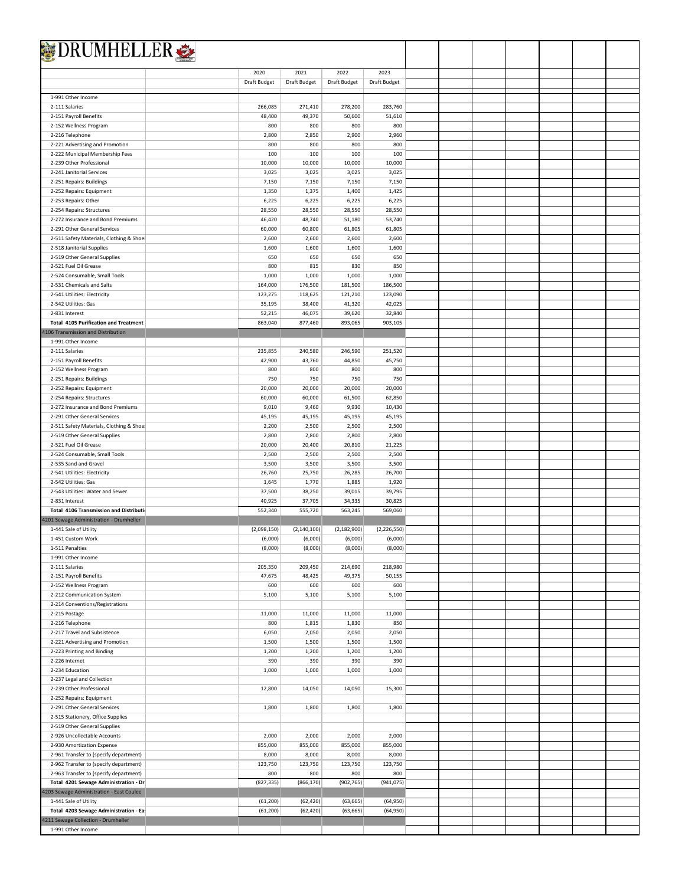| <b>DRUMHELLER</b>                                                                 |                  |                  |                  |                  |  |  |  |  |
|-----------------------------------------------------------------------------------|------------------|------------------|------------------|------------------|--|--|--|--|
|                                                                                   |                  |                  |                  |                  |  |  |  |  |
|                                                                                   | 2020             | 2021             | 2022             | 2023             |  |  |  |  |
|                                                                                   | Draft Budget     | Draft Budget     | Draft Budget     | Draft Budget     |  |  |  |  |
| 1-991 Other Income                                                                |                  |                  |                  |                  |  |  |  |  |
| 2-111 Salaries                                                                    | 266,085          | 271,410          | 278,200          | 283,760          |  |  |  |  |
| 2-151 Payroll Benefits                                                            | 48,400           | 49,370           | 50,600           | 51,610           |  |  |  |  |
| 2-152 Wellness Program                                                            | 800              | 800              | 800              | 800              |  |  |  |  |
| 2-216 Telephone                                                                   | 2,800            | 2,850            | 2,900            | 2,960            |  |  |  |  |
| 2-221 Advertising and Promotion                                                   | 800              | 800              | 800              | 800              |  |  |  |  |
| 2-222 Municipal Membership Fees                                                   | 100              | 100              | 100              | 100              |  |  |  |  |
| 2-239 Other Professional                                                          | 10,000           | 10,000           | 10,000           | 10,000           |  |  |  |  |
| 2-241 Janitorial Services                                                         | 3,025            | 3,025            | 3,025            | 3,025            |  |  |  |  |
| 2-251 Repairs: Buildings                                                          | 7,150            | 7,150            | 7,150            | 7,150            |  |  |  |  |
| 2-252 Repairs: Equipment                                                          | 1,350            | 1,375            | 1,400            | 1,425            |  |  |  |  |
| 2-253 Repairs: Other                                                              | 6,225            | 6,225            | 6,225            | 6,225            |  |  |  |  |
| 2-254 Repairs: Structures                                                         | 28,550           | 28,550           | 28,550           | 28,550<br>53,740 |  |  |  |  |
| 2-272 Insurance and Bond Premiums<br>2-291 Other General Services                 | 46,420<br>60,000 | 48,740<br>60,800 | 51,180<br>61,805 | 61,805           |  |  |  |  |
| 2-511 Safety Materials, Clothing & Shoe:                                          | 2,600            | 2,600            | 2,600            | 2,600            |  |  |  |  |
| 2-518 Janitorial Supplies                                                         | 1,600            | 1,600            | 1,600            | 1,600            |  |  |  |  |
| 2-519 Other General Supplies                                                      | 650              | 650              | 650              | 650              |  |  |  |  |
| 2-521 Fuel Oil Grease                                                             | 800              | 815              | 830              | 850              |  |  |  |  |
| 2-524 Consumable, Small Tools                                                     | 1,000            | 1,000            | 1,000            | 1,000            |  |  |  |  |
| 2-531 Chemicals and Salts                                                         | 164,000          | 176,500          | 181,500          | 186,500          |  |  |  |  |
| 2-541 Utilities: Electricity                                                      | 123,275          | 118,625          | 121,210          | 123,090          |  |  |  |  |
| 2-542 Utilities: Gas                                                              | 35,195           | 38,400           | 41,320           | 42,025           |  |  |  |  |
| 2-831 Interest                                                                    | 52,215           | 46,075           | 39,620           | 32,840           |  |  |  |  |
| <b>Total 4105 Purification and Treatment</b>                                      | 863,040          | 877,460          | 893,065          | 903,105          |  |  |  |  |
| 4106 Transmission and Distribution                                                |                  |                  |                  |                  |  |  |  |  |
| 1-991 Other Income                                                                |                  |                  |                  |                  |  |  |  |  |
| 2-111 Salaries                                                                    | 235,855          | 240,580          | 246,590          | 251,520          |  |  |  |  |
| 2-151 Payroll Benefits                                                            | 42,900<br>800    | 43,760<br>800    | 44,850<br>800    | 45,750<br>800    |  |  |  |  |
| 2-152 Wellness Program<br>2-251 Repairs: Buildings                                | 750              | 750              | 750              | 750              |  |  |  |  |
| 2-252 Repairs: Equipment                                                          | 20,000           | 20,000           | 20,000           | 20,000           |  |  |  |  |
| 2-254 Repairs: Structures                                                         | 60,000           | 60,000           | 61,500           | 62,850           |  |  |  |  |
| 2-272 Insurance and Bond Premiums                                                 | 9,010            | 9,460            | 9,930            | 10,430           |  |  |  |  |
| 2-291 Other General Services                                                      | 45,195           | 45,195           | 45,195           | 45,195           |  |  |  |  |
| 2-511 Safety Materials, Clothing & Shoe:                                          | 2,200            | 2,500            | 2,500            | 2,500            |  |  |  |  |
| 2-519 Other General Supplies                                                      | 2,800            | 2,800            | 2,800            | 2,800            |  |  |  |  |
| 2-521 Fuel Oil Grease                                                             | 20,000           | 20,400           | 20,810           | 21,225           |  |  |  |  |
| 2-524 Consumable, Small Tools                                                     | 2,500            | 2,500            | 2,500            | 2,500            |  |  |  |  |
| 2-535 Sand and Gravel                                                             | 3,500            | 3,500            | 3,500            | 3,500            |  |  |  |  |
| 2-541 Utilities: Electricity                                                      | 26,760           | 25,750           | 26,285           | 26,700           |  |  |  |  |
| 2-542 Utilities: Gas                                                              | 1,645            | 1,770            | 1,885            | 1,920            |  |  |  |  |
| 2-543 Utilities: Water and Sewer                                                  | 37,500           | 38,250           | 39,015           | 39,795           |  |  |  |  |
| 2-831 Interest                                                                    | 40,925           | 37,705           | 34,335           | 30,825           |  |  |  |  |
| Total 4106 Transmission and Distributio                                           | 552,340          | 555,720          | 563,245          | 569,060          |  |  |  |  |
| 4201 Sewage Administration - Drumheller                                           |                  |                  |                  |                  |  |  |  |  |
| 1-441 Sale of Utility                                                             | (2,098,150)      | (2, 140, 100)    | (2, 182, 900)    | (2, 226, 550)    |  |  |  |  |
| 1-451 Custom Work                                                                 | (6,000)          | (6,000)          | (6,000)          | (6,000)          |  |  |  |  |
| 1-511 Penalties<br>1-991 Other Income                                             | (8,000)          | (8,000)          | (8,000)          | (8,000)          |  |  |  |  |
| 2-111 Salaries                                                                    | 205,350          | 209,450          | 214,690          | 218,980          |  |  |  |  |
| 2-151 Payroll Benefits                                                            | 47,675           | 48,425           | 49,375           | 50,155           |  |  |  |  |
| 2-152 Wellness Program                                                            | 600              | 600              | 600              | 600              |  |  |  |  |
| 2-212 Communication System                                                        | 5,100            | 5,100            | 5,100            | 5,100            |  |  |  |  |
| 2-214 Conventions/Registrations                                                   |                  |                  |                  |                  |  |  |  |  |
| 2-215 Postage                                                                     | 11,000           | 11,000           | 11,000           | 11,000           |  |  |  |  |
| 2-216 Telephone                                                                   | 800              | 1,815            | 1,830            | 850              |  |  |  |  |
| 2-217 Travel and Subsistence                                                      | 6,050            | 2,050            | 2,050            | 2,050            |  |  |  |  |
| 2-221 Advertising and Promotion                                                   | 1,500            | 1,500            | 1,500            | 1,500            |  |  |  |  |
| 2-223 Printing and Binding                                                        | 1,200            | 1,200            | 1,200            | 1,200            |  |  |  |  |
| 2-226 Internet                                                                    | 390              | 390              | 390              | 390              |  |  |  |  |
| 2-234 Education                                                                   | 1,000            | 1,000            | 1,000            | 1,000            |  |  |  |  |
| 2-237 Legal and Collection                                                        |                  |                  |                  |                  |  |  |  |  |
|                                                                                   |                  | 14,050           | 14,050           | 15,300           |  |  |  |  |
| 2-239 Other Professional                                                          | 12,800           |                  |                  |                  |  |  |  |  |
| 2-252 Repairs: Equipment                                                          |                  |                  |                  |                  |  |  |  |  |
| 2-291 Other General Services                                                      | 1,800            | 1,800            | 1,800            | 1,800            |  |  |  |  |
| 2-515 Stationery, Office Supplies                                                 |                  |                  |                  |                  |  |  |  |  |
| 2-519 Other General Supplies                                                      |                  |                  |                  |                  |  |  |  |  |
| 2-926 Uncollectable Accounts                                                      | 2,000            | 2,000            | 2,000            | 2,000            |  |  |  |  |
| 2-930 Amortization Expense                                                        | 855,000          | 855,000          | 855,000          | 855,000          |  |  |  |  |
| 2-961 Transfer to (specify department)                                            | 8,000            | 8,000            | 8,000            | 8,000            |  |  |  |  |
| 2-962 Transfer to (specify department)                                            | 123,750<br>800   | 123,750<br>800   | 123,750<br>800   | 123,750<br>800   |  |  |  |  |
| 2-963 Transfer to (specify department)                                            |                  | (866, 170)       |                  | (941, 075)       |  |  |  |  |
| Total 4201 Sewage Administration - Dr<br>4203 Sewage Administration - East Coulee | (827, 335)       |                  | (902, 765)       |                  |  |  |  |  |
| 1-441 Sale of Utility                                                             | (61, 200)        | (62, 420)        | (63, 665)        | (64, 950)        |  |  |  |  |
| Total 4203 Sewage Administration - Ea                                             | (61, 200)        | (62, 420)        | (63, 665)        | (64,950)         |  |  |  |  |
| 4211 Sewage Collection - Drumheller                                               |                  |                  |                  |                  |  |  |  |  |